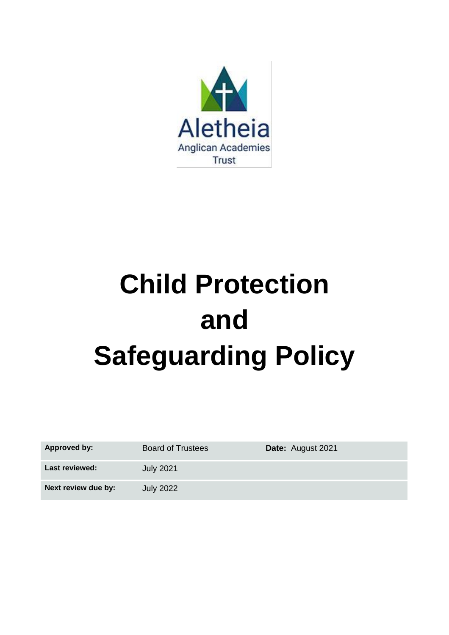

# **Child Protection and Safeguarding Policy**

| <b>Approved by:</b>   | <b>Board of Trustees</b> | <b>Date:</b> August 2021 |
|-----------------------|--------------------------|--------------------------|
| <b>Last reviewed:</b> | <b>July 2021</b>         |                          |
| Next review due by:   | <b>July 2022</b>         |                          |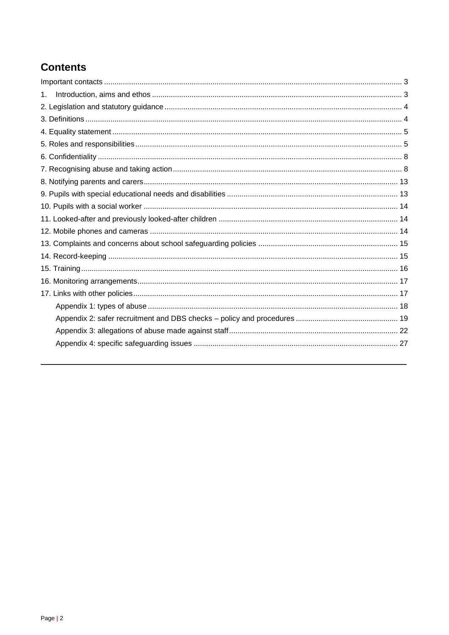# **Contents**

| 1. |  |
|----|--|
|    |  |
|    |  |
|    |  |
|    |  |
|    |  |
|    |  |
|    |  |
|    |  |
|    |  |
|    |  |
|    |  |
|    |  |
|    |  |
|    |  |
|    |  |
|    |  |
|    |  |
|    |  |
|    |  |
|    |  |
|    |  |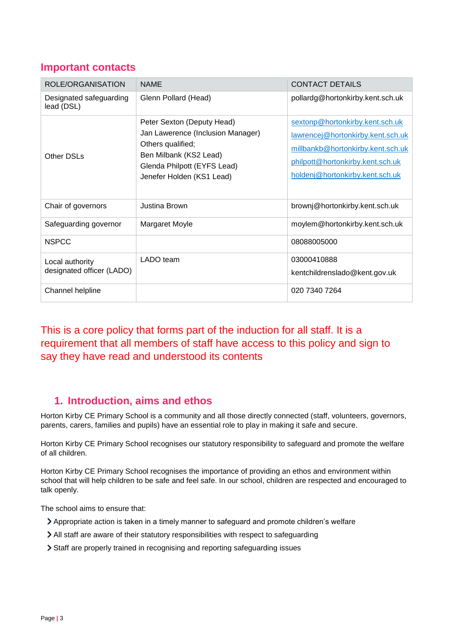# <span id="page-2-0"></span>**Important contacts**

| ROLE/ORGANISATION                            | <b>NAME</b>                                                                                                                                                                | <b>CONTACT DETAILS</b>                                                                                                                                                           |
|----------------------------------------------|----------------------------------------------------------------------------------------------------------------------------------------------------------------------------|----------------------------------------------------------------------------------------------------------------------------------------------------------------------------------|
| Designated safeguarding<br>lead (DSL)        | Glenn Pollard (Head)                                                                                                                                                       | pollardg@hortonkirby.kent.sch.uk                                                                                                                                                 |
| <b>Other DSLs</b>                            | Peter Sexton (Deputy Head)<br>Jan Lawerence (Inclusion Manager)<br>Others qualified;<br>Ben Milbank (KS2 Lead)<br>Glenda Philpott (EYFS Lead)<br>Jenefer Holden (KS1 Lead) | sextonp@hortonkirby.kent.sch.uk<br>lawrencej@hortonkirby.kent.sch.uk<br>millbankb@hortonkirby.kent.sch.uk<br>philpott@hortonkirby.kent.sch.uk<br>holdenj@hortonkirby.kent.sch.uk |
| Chair of governors                           | Justina Brown                                                                                                                                                              | brownj@hortonkirby.kent.sch.uk                                                                                                                                                   |
| Safeguarding governor                        | Margaret Moyle                                                                                                                                                             | moylem@hortonkirby.kent.sch.uk                                                                                                                                                   |
| <b>NSPCC</b>                                 |                                                                                                                                                                            | 08088005000                                                                                                                                                                      |
| Local authority<br>designated officer (LADO) | LADO team                                                                                                                                                                  | 03000410888<br>kentchildrenslado@kent.gov.uk                                                                                                                                     |
| Channel helpline                             |                                                                                                                                                                            | 020 7340 7264                                                                                                                                                                    |

This is a core policy that forms part of the induction for all staff. It is a requirement that all members of staff have access to this policy and sign to say they have read and understood its contents

# <span id="page-2-1"></span>**1. Introduction, aims and ethos**

Horton Kirby CE Primary School is a community and all those directly connected (staff, volunteers, governors, parents, carers, families and pupils) have an essential role to play in making it safe and secure.

Horton Kirby CE Primary School recognises our statutory responsibility to safeguard and promote the welfare of all children.

Horton Kirby CE Primary School recognises the importance of providing an ethos and environment within school that will help children to be safe and feel safe. In our school, children are respected and encouraged to talk openly.

The school aims to ensure that:

- Appropriate action is taken in a timely manner to safeguard and promote children's welfare
- All staff are aware of their statutory responsibilities with respect to safeguarding
- Staff are properly trained in recognising and reporting safeguarding issues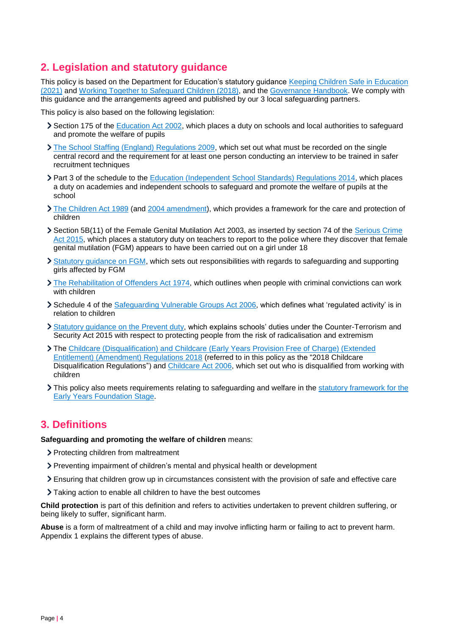# <span id="page-3-0"></span>**2. Legislation and statutory guidance**

This policy is based on the Department for Education's statutory guidance [Keeping Children Safe in Education](https://www.gov.uk/government/publications/keeping-children-safe-in-education--2)  [\(2021\)](https://www.gov.uk/government/publications/keeping-children-safe-in-education--2) and [Working Together to Safeguard Children \(2018\),](https://www.gov.uk/government/publications/working-together-to-safeguard-children--2) and the [Governance Handbook.](https://www.gov.uk/government/publications/governance-handbook) We comply with this guidance and the arrangements agreed and published by our 3 local safeguarding partners.

This policy is also based on the following legislation:

- Section 175 of the **Education Act 2002**, which places a duty on schools and local authorities to safeguard and promote the welfare of pupils
- [The School Staffing \(England\) Regulations 2009,](http://www.legislation.gov.uk/uksi/2009/2680/contents/made) which set out what must be recorded on the single central record and the requirement for at least one person conducting an interview to be trained in safer recruitment techniques
- Part 3 of the schedule to the [Education \(Independent School Standards\) Regulations 2014,](http://www.legislation.gov.uk/uksi/2014/3283/schedule/part/3/made) which places a duty on academies and independent schools to safeguard and promote the welfare of pupils at the school
- [The Children Act 1989](http://www.legislation.gov.uk/ukpga/1989/41) (and [2004 amendment\)](http://www.legislation.gov.uk/ukpga/2004/31/contents), which provides a framework for the care and protection of children
- Section 5B(11) of the Female Genital Mutilation Act 2003, as inserted by section 74 of the [Serious Crime](http://www.legislation.gov.uk/ukpga/2015/9/part/5/crossheading/female-genital-mutilation)  [Act 2015,](http://www.legislation.gov.uk/ukpga/2015/9/part/5/crossheading/female-genital-mutilation) which places a statutory duty on teachers to report to the police where they discover that female genital mutilation (FGM) appears to have been carried out on a girl under 18
- [Statutory guidance on FGM,](https://www.gov.uk/government/publications/multi-agency-statutory-guidance-on-female-genital-mutilation) which sets out responsibilities with regards to safeguarding and supporting girls affected by FGM
- [The Rehabilitation of Offenders Act 1974,](http://www.legislation.gov.uk/ukpga/1974/53) which outlines when people with criminal convictions can work with children
- Schedule 4 of the [Safeguarding Vulnerable Groups Act 2006,](http://www.legislation.gov.uk/ukpga/2006/47/schedule/4) which defines what 'regulated activity' is in relation to children
- [Statutory guidance on the](https://www.gov.uk/government/publications/prevent-duty-guidance) Prevent duty, which explains schools' duties under the Counter-Terrorism and Security Act 2015 with respect to protecting people from the risk of radicalisation and extremism
- The [Childcare \(Disqualification\) and Childcare \(Early Years Provision Free of Charge\) \(Extended](http://www.legislation.gov.uk/uksi/2018/794/contents/made)  [Entitlement\) \(Amendment\) Regulations 2018](http://www.legislation.gov.uk/uksi/2018/794/contents/made) (referred to in this policy as the "2018 Childcare Disqualification Regulations") and [Childcare Act 2006,](http://www.legislation.gov.uk/ukpga/2006/21/contents) which set out who is disqualified from working with children
- If This policy also meets requirements relating to safeguarding and welfare in the statutory framework for the [Early Years Foundation Stage.](https://www.gov.uk/government/publications/early-years-foundation-stage-framework--2)

# <span id="page-3-1"></span>**3. Definitions**

**Safeguarding and promoting the welfare of children** means:

- > Protecting children from maltreatment
- Preventing impairment of children's mental and physical health or development
- Ensuring that children grow up in circumstances consistent with the provision of safe and effective care
- Taking action to enable all children to have the best outcomes

**Child protection** is part of this definition and refers to activities undertaken to prevent children suffering, or being likely to suffer, significant harm.

**Abuse** is a form of maltreatment of a child and may involve inflicting harm or failing to act to prevent harm. Appendix 1 explains the different types of abuse.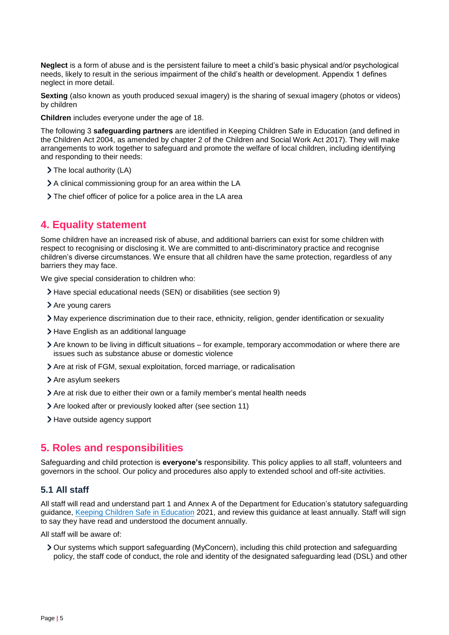**Neglect** is a form of abuse and is the persistent failure to meet a child's basic physical and/or psychological needs, likely to result in the serious impairment of the child's health or development. Appendix 1 defines neglect in more detail.

**Sexting** (also known as youth produced sexual imagery) is the sharing of sexual imagery (photos or videos) by children

**Children** includes everyone under the age of 18.

The following 3 **safeguarding partners** are identified in Keeping Children Safe in Education (and defined in the Children Act 2004, as amended by chapter 2 of the Children and Social Work Act 2017). They will make arrangements to work together to safeguard and promote the welfare of local children, including identifying and responding to their needs:

- > The local authority (LA)
- A clinical commissioning group for an area within the LA
- The chief officer of police for a police area in the LA area

# <span id="page-4-0"></span>**4. Equality statement**

Some children have an increased risk of abuse, and additional barriers can exist for some children with respect to recognising or disclosing it. We are committed to anti-discriminatory practice and recognise children's diverse circumstances. We ensure that all children have the same protection, regardless of any barriers they may face.

We give special consideration to children who:

- Have special educational needs (SEN) or disabilities (see section 9)
- > Are young carers
- May experience discrimination due to their race, ethnicity, religion, gender identification or sexuality
- > Have English as an additional language
- Are known to be living in difficult situations for example, temporary accommodation or where there are issues such as substance abuse or domestic violence
- Are at risk of FGM, sexual exploitation, forced marriage, or radicalisation
- > Are asylum seekers
- Are at risk due to either their own or a family member's mental health needs
- Are looked after or previously looked after (see section 11)
- > Have outside agency support

# <span id="page-4-1"></span>**5. Roles and responsibilities**

Safeguarding and child protection is **everyone's** responsibility. This policy applies to all staff, volunteers and governors in the school. Our policy and procedures also apply to extended school and off-site activities.

## **5.1 All staff**

All staff will read and understand part 1 and Annex A of the Department for Education's statutory safeguarding guidance, [Keeping Children Safe in Education](https://www.gov.uk/government/publications/keeping-children-safe-in-education--2) 2021, and review this guidance at least annually. Staff will sign to say they have read and understood the document annually.

All staff will be aware of:

Our systems which support safeguarding (MyConcern), including this child protection and safeguarding policy, the staff code of conduct, the role and identity of the designated safeguarding lead (DSL) and other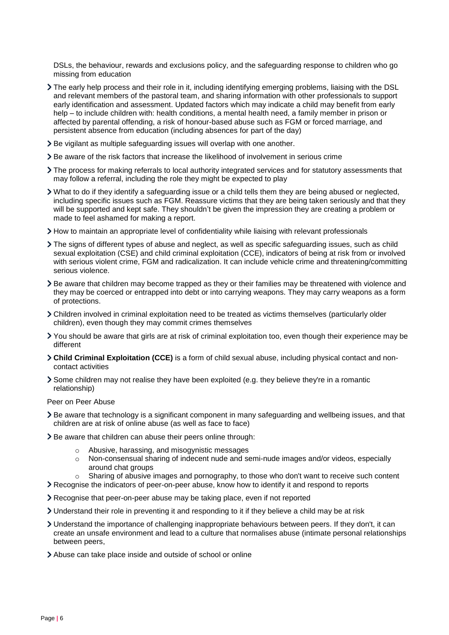DSLs, the behaviour, rewards and exclusions policy, and the safeguarding response to children who go missing from education

- The early help process and their role in it, including identifying emerging problems, liaising with the DSL and relevant members of the pastoral team, and sharing information with other professionals to support early identification and assessment. Updated factors which may indicate a child may benefit from early help – to include children with: health conditions, a mental health need, a family member in prison or affected by parental offending, a risk of honour-based abuse such as FGM or forced marriage, and persistent absence from education (including absences for part of the day)
- Be vigilant as multiple safeguarding issues will overlap with one another.
- Be aware of the risk factors that increase the likelihood of involvement in serious crime
- The process for making referrals to local authority integrated services and for statutory assessments that may follow a referral, including the role they might be expected to play
- What to do if they identify a safeguarding issue or a child tells them they are being abused or neglected, including specific issues such as FGM. Reassure victims that they are being taken seriously and that they will be supported and kept safe. They shouldn't be given the impression they are creating a problem or made to feel ashamed for making a report.
- How to maintain an appropriate level of confidentiality while liaising with relevant professionals
- The signs of different types of abuse and neglect, as well as specific safeguarding issues, such as child sexual exploitation (CSE) and child criminal exploitation (CCE), indicators of being at risk from or involved with serious violent crime, FGM and radicalization. It can include vehicle crime and threatening/committing serious violence.
- Be aware that children may become trapped as they or their families may be threatened with violence and they may be coerced or entrapped into debt or into carrying weapons. They may carry weapons as a form of protections.
- Children involved in criminal exploitation need to be treated as victims themselves (particularly older children), even though they may commit crimes themselves
- You should be aware that girls are at risk of criminal exploitation too, even though their experience may be different
- **Child Criminal Exploitation (CCE)** is a form of child sexual abuse, including physical contact and noncontact activities
- Some children may not realise they have been exploited (e.g. they believe they're in a romantic relationship)

#### Peer on Peer Abuse

- Be aware that technology is a significant component in many safeguarding and wellbeing issues, and that children are at risk of online abuse (as well as face to face)
- > Be aware that children can abuse their peers online through:
	- o Abusive, harassing, and misogynistic messages
	- o Non-consensual sharing of indecent nude and semi-nude images and/or videos, especially around chat groups
	- $\circ$  Sharing of abusive images and pornography, to those who don't want to receive such content
- Recognise the indicators of peer-on-peer abuse, know how to identify it and respond to reports
- Recognise that peer-on-peer abuse may be taking place, even if not reported
- Understand their role in preventing it and responding to it if they believe a child may be at risk
- Understand the importance of challenging inappropriate behaviours between peers. If they don't, it can create an unsafe environment and lead to a culture that normalises abuse (intimate personal relationships between peers,
- Abuse can take place inside and outside of school or online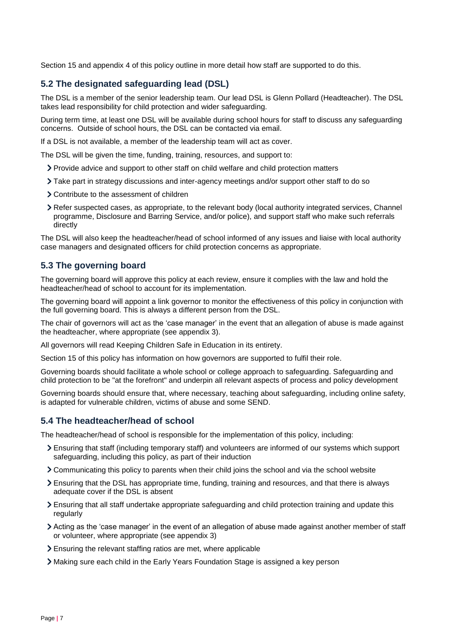Section 15 and appendix 4 of this policy outline in more detail how staff are supported to do this.

# **5.2 The designated safeguarding lead (DSL)**

The DSL is a member of the senior leadership team. Our lead DSL is Glenn Pollard (Headteacher). The DSL takes lead responsibility for child protection and wider safeguarding.

During term time, at least one DSL will be available during school hours for staff to discuss any safeguarding concerns. Outside of school hours, the DSL can be contacted via email.

If a DSL is not available, a member of the leadership team will act as cover.

The DSL will be given the time, funding, training, resources, and support to:

- Provide advice and support to other staff on child welfare and child protection matters
- Take part in strategy discussions and inter-agency meetings and/or support other staff to do so
- Contribute to the assessment of children
- Refer suspected cases, as appropriate, to the relevant body (local authority integrated services, Channel programme, Disclosure and Barring Service, and/or police), and support staff who make such referrals directly

The DSL will also keep the headteacher/head of school informed of any issues and liaise with local authority case managers and designated officers for child protection concerns as appropriate.

## **5.3 The governing board**

The governing board will approve this policy at each review, ensure it complies with the law and hold the headteacher/head of school to account for its implementation.

The governing board will appoint a link governor to monitor the effectiveness of this policy in conjunction with the full governing board. This is always a different person from the DSL.

The chair of governors will act as the 'case manager' in the event that an allegation of abuse is made against the headteacher, where appropriate (see appendix 3).

All governors will read Keeping Children Safe in Education in its entirety.

Section 15 of this policy has information on how governors are supported to fulfil their role.

Governing boards should facilitate a whole school or college approach to safeguarding. Safeguarding and child protection to be "at the forefront" and underpin all relevant aspects of process and policy development

Governing boards should ensure that, where necessary, teaching about safeguarding, including online safety, is adapted for vulnerable children, victims of abuse and some SEND.

#### **5.4 The headteacher/head of school**

The headteacher/head of school is responsible for the implementation of this policy, including:

- Ensuring that staff (including temporary staff) and volunteers are informed of our systems which support safeguarding, including this policy, as part of their induction
- Communicating this policy to parents when their child joins the school and via the school website
- Ensuring that the DSL has appropriate time, funding, training and resources, and that there is always adequate cover if the DSL is absent
- Ensuring that all staff undertake appropriate safeguarding and child protection training and update this regularly
- Acting as the 'case manager' in the event of an allegation of abuse made against another member of staff or volunteer, where appropriate (see appendix 3)
- Ensuring the relevant staffing ratios are met, where applicable
- Making sure each child in the Early Years Foundation Stage is assigned a key person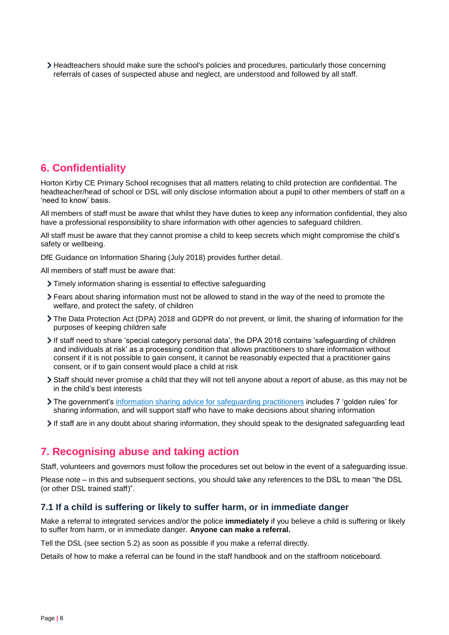Headteachers should make sure the school's policies and procedures, particularly those concerning referrals of cases of suspected abuse and neglect, are understood and followed by all staff.

# <span id="page-7-0"></span>**6. Confidentiality**

Horton Kirby CE Primary School recognises that all matters relating to child protection are confidential. The headteacher/head of school or DSL will only disclose information about a pupil to other members of staff on a 'need to know' basis.

All members of staff must be aware that whilst they have duties to keep any information confidential, they also have a professional responsibility to share information with other agencies to safeguard children.

All staff must be aware that they cannot promise a child to keep secrets which might compromise the child's safety or wellbeing.

DfE Guidance on Information Sharing (July 2018) provides further detail.

All members of staff must be aware that:

- Timely information sharing is essential to effective safeguarding
- Fears about sharing information must not be allowed to stand in the way of the need to promote the welfare, and protect the safety, of children
- The Data Protection Act (DPA) 2018 and GDPR do not prevent, or limit, the sharing of information for the purposes of keeping children safe
- If staff need to share 'special category personal data', the DPA 2018 contains 'safeguarding of children and individuals at risk' as a processing condition that allows practitioners to share information without consent if it is not possible to gain consent, it cannot be reasonably expected that a practitioner gains consent, or if to gain consent would place a child at risk
- Staff should never promise a child that they will not tell anyone about a report of abuse, as this may not be in the child's best interests
- The government's [information sharing advice for safeguarding](https://www.gov.uk/government/publications/safeguarding-practitioners-information-sharing-advice) practitioners includes 7 'golden rules' for sharing information, and will support staff who have to make decisions about sharing information
- If staff are in any doubt about sharing information, they should speak to the designated safeguarding lead

# <span id="page-7-1"></span>**7. Recognising abuse and taking action**

Staff, volunteers and governors must follow the procedures set out below in the event of a safeguarding issue.

Please note – in this and subsequent sections, you should take any references to the DSL to mean "the DSL (or other DSL trained staff)".

## **7.1 If a child is suffering or likely to suffer harm, or in immediate danger**

Make a referral to integrated services and/or the police **immediately** if you believe a child is suffering or likely to suffer from harm, or in immediate danger. **Anyone can make a referral.**

Tell the DSL (see section 5.2) as soon as possible if you make a referral directly.

Details of how to make a referral can be found in the staff handbook and on the staffroom noticeboard.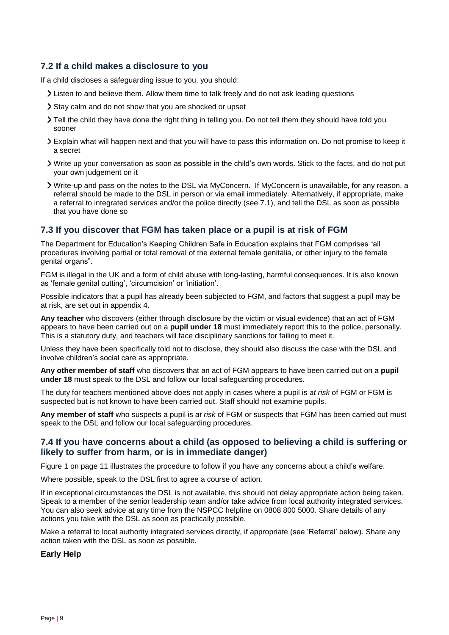# **7.2 If a child makes a disclosure to you**

If a child discloses a safeguarding issue to you, you should:

- Listen to and believe them. Allow them time to talk freely and do not ask leading questions
- Stay calm and do not show that you are shocked or upset
- Tell the child they have done the right thing in telling you. Do not tell them they should have told you sooner
- Explain what will happen next and that you will have to pass this information on. Do not promise to keep it a secret
- Write up your conversation as soon as possible in the child's own words. Stick to the facts, and do not put your own judgement on it
- Write-up and pass on the notes to the DSL via MyConcern. If MyConcern is unavailable, for any reason, a referral should be made to the DSL in person or via email immediately. Alternatively, if appropriate, make a referral to integrated services and/or the police directly (see 7.1), and tell the DSL as soon as possible that you have done so

# **7.3 If you discover that FGM has taken place or a pupil is at risk of FGM**

The Department for Education's Keeping Children Safe in Education explains that FGM comprises "all procedures involving partial or total removal of the external female genitalia, or other injury to the female genital organs".

FGM is illegal in the UK and a form of child abuse with long-lasting, harmful consequences. It is also known as 'female genital cutting', 'circumcision' or 'initiation'.

Possible indicators that a pupil has already been subjected to FGM, and factors that suggest a pupil may be at risk, are set out in appendix 4.

**Any teacher** who discovers (either through disclosure by the victim or visual evidence) that an act of FGM appears to have been carried out on a **pupil under 18** must immediately report this to the police, personally. This is a statutory duty, and teachers will face disciplinary sanctions for failing to meet it.

Unless they have been specifically told not to disclose, they should also discuss the case with the DSL and involve children's social care as appropriate.

**Any other member of staff** who discovers that an act of FGM appears to have been carried out on a **pupil under 18** must speak to the DSL and follow our local safeguarding procedures.

The duty for teachers mentioned above does not apply in cases where a pupil is *at risk* of FGM or FGM is suspected but is not known to have been carried out. Staff should not examine pupils.

**Any member of staff** who suspects a pupil is *at risk* of FGM or suspects that FGM has been carried out must speak to the DSL and follow our local safeguarding procedures.

# **7.4 If you have concerns about a child (as opposed to believing a child is suffering or likely to suffer from harm, or is in immediate danger)**

Figure 1 on page 11 illustrates the procedure to follow if you have any concerns about a child's welfare.

Where possible, speak to the DSL first to agree a course of action.

If in exceptional circumstances the DSL is not available, this should not delay appropriate action being taken. Speak to a member of the senior leadership team and/or take advice from local authority integrated services. You can also seek advice at any time from the NSPCC helpline on 0808 800 5000. Share details of any actions you take with the DSL as soon as practically possible.

Make a referral to local authority integrated services directly, if appropriate (see 'Referral' below). Share any action taken with the DSL as soon as possible.

#### **Early Help**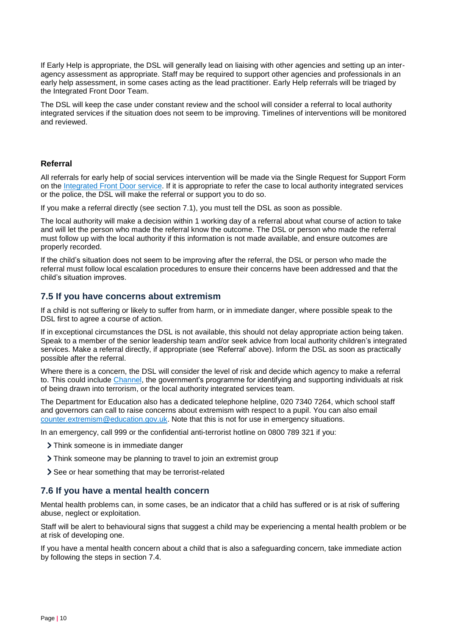If Early Help is appropriate, the DSL will generally lead on liaising with other agencies and setting up an interagency assessment as appropriate. Staff may be required to support other agencies and professionals in an early help assessment, in some cases acting as the lead practitioner. Early Help referrals will be triaged by the Integrated Front Door Team.

The DSL will keep the case under constant review and the school will consider a referral to local authority integrated services if the situation does not seem to be improving. Timelines of interventions will be monitored and reviewed.

#### **Referral**

All referrals for early help of social services intervention will be made via the Single Request for Support Form on the [Integrated Front Door service.](https://www.kelsi.org.uk/special-education-needs/integrated-childrens-services/front-door) If it is appropriate to refer the case to local authority integrated services or the police, the DSL will make the referral or support you to do so.

If you make a referral directly (see section 7.1), you must tell the DSL as soon as possible.

The local authority will make a decision within 1 working day of a referral about what course of action to take and will let the person who made the referral know the outcome. The DSL or person who made the referral must follow up with the local authority if this information is not made available, and ensure outcomes are properly recorded.

If the child's situation does not seem to be improving after the referral, the DSL or person who made the referral must follow local escalation procedures to ensure their concerns have been addressed and that the child's situation improves.

## **7.5 If you have concerns about extremism**

If a child is not suffering or likely to suffer from harm, or in immediate danger, where possible speak to the DSL first to agree a course of action.

If in exceptional circumstances the DSL is not available, this should not delay appropriate action being taken. Speak to a member of the senior leadership team and/or seek advice from local authority children's integrated services. Make a referral directly, if appropriate (see 'Referral' above). Inform the DSL as soon as practically possible after the referral.

Where there is a concern, the DSL will consider the level of risk and decide which agency to make a referral to. This could include [Channel,](https://www.gov.uk/government/publications/channel-guidance) the government's programme for identifying and supporting individuals at risk of being drawn into terrorism, or the local authority integrated services team.

The Department for Education also has a dedicated telephone helpline, 020 7340 7264, which school staff and governors can call to raise concerns about extremism with respect to a pupil. You can also email [counter.extremism@education.gov.uk.](mailto:counter.extremism@education.gov.uk) Note that this is not for use in emergency situations.

In an emergency, call 999 or the confidential anti-terrorist hotline on 0800 789 321 if you:

- > Think someone is in immediate danger
- Think someone may be planning to travel to join an extremist group
- See or hear something that may be terrorist-related

#### **7.6 If you have a mental health concern**

Mental health problems can, in some cases, be an indicator that a child has suffered or is at risk of suffering abuse, neglect or exploitation.

Staff will be alert to behavioural signs that suggest a child may be experiencing a mental health problem or be at risk of developing one.

If you have a mental health concern about a child that is also a safeguarding concern, take immediate action by following the steps in section 7.4.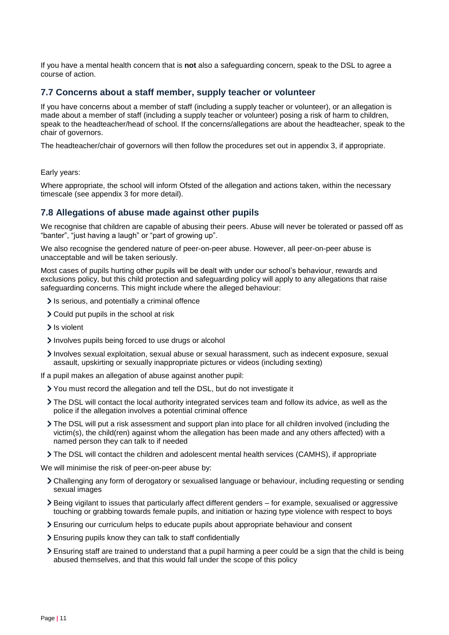If you have a mental health concern that is **not** also a safeguarding concern, speak to the DSL to agree a course of action.

#### **7.7 Concerns about a staff member, supply teacher or volunteer**

If you have concerns about a member of staff (including a supply teacher or volunteer), or an allegation is made about a member of staff (including a supply teacher or volunteer) posing a risk of harm to children, speak to the headteacher/head of school. If the concerns/allegations are about the headteacher, speak to the chair of governors.

The headteacher/chair of governors will then follow the procedures set out in appendix 3, if appropriate.

#### Early years:

Where appropriate, the school will inform Ofsted of the allegation and actions taken, within the necessary timescale (see appendix 3 for more detail).

#### **7.8 Allegations of abuse made against other pupils**

We recognise that children are capable of abusing their peers. Abuse will never be tolerated or passed off as "banter", "just having a laugh" or "part of growing up".

We also recognise the gendered nature of peer-on-peer abuse. However, all peer-on-peer abuse is unacceptable and will be taken seriously.

Most cases of pupils hurting other pupils will be dealt with under our school's behaviour, rewards and exclusions policy, but this child protection and safeguarding policy will apply to any allegations that raise safeguarding concerns. This might include where the alleged behaviour:

- If is serious, and potentially a criminal offence
- Could put pupils in the school at risk
- > Is violent
- Involves pupils being forced to use drugs or alcohol
- Involves sexual exploitation, sexual abuse or sexual harassment, such as indecent exposure, sexual assault, upskirting or sexually inappropriate pictures or videos (including sexting)
- If a pupil makes an allegation of abuse against another pupil:
	- You must record the allegation and tell the DSL, but do not investigate it
	- The DSL will contact the local authority integrated services team and follow its advice, as well as the police if the allegation involves a potential criminal offence
	- The DSL will put a risk assessment and support plan into place for all children involved (including the victim(s), the child(ren) against whom the allegation has been made and any others affected) with a named person they can talk to if needed
	- The DSL will contact the children and adolescent mental health services (CAMHS), if appropriate

We will minimise the risk of peer-on-peer abuse by:

- Challenging any form of derogatory or sexualised language or behaviour, including requesting or sending sexual images
- Being vigilant to issues that particularly affect different genders for example, sexualised or aggressive touching or grabbing towards female pupils, and initiation or hazing type violence with respect to boys
- Ensuring our curriculum helps to educate pupils about appropriate behaviour and consent
- Ensuring pupils know they can talk to staff confidentially
- Ensuring staff are trained to understand that a pupil harming a peer could be a sign that the child is being abused themselves, and that this would fall under the scope of this policy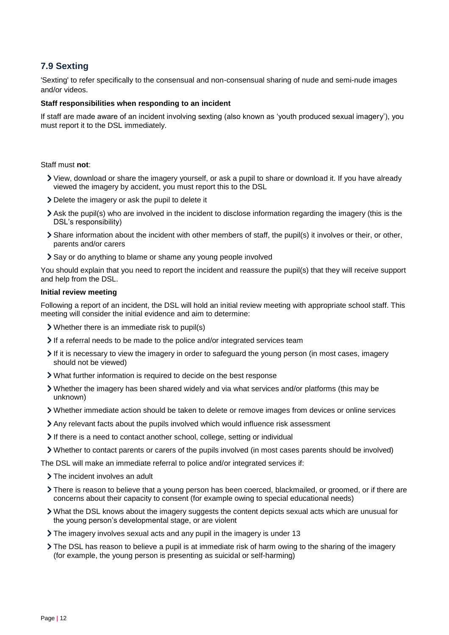# **7.9 Sexting**

'Sexting' to refer specifically to the consensual and non-consensual sharing of nude and semi-nude images and/or videos.

#### **Staff responsibilities when responding to an incident**

If staff are made aware of an incident involving sexting (also known as 'youth produced sexual imagery'), you must report it to the DSL immediately.

Staff must **not**:

- View, download or share the imagery yourself, or ask a pupil to share or download it. If you have already viewed the imagery by accident, you must report this to the DSL
- Delete the imagery or ask the pupil to delete it
- Ask the pupil(s) who are involved in the incident to disclose information regarding the imagery (this is the DSL's responsibility)
- Share information about the incident with other members of staff, the pupil(s) it involves or their, or other, parents and/or carers
- Say or do anything to blame or shame any young people involved

You should explain that you need to report the incident and reassure the pupil(s) that they will receive support and help from the DSL.

#### **Initial review meeting**

Following a report of an incident, the DSL will hold an initial review meeting with appropriate school staff. This meeting will consider the initial evidence and aim to determine:

- Whether there is an immediate risk to pupil(s)
- If a referral needs to be made to the police and/or integrated services team
- If it is necessary to view the imagery in order to safeguard the young person (in most cases, imagery should not be viewed)
- What further information is required to decide on the best response
- Whether the imagery has been shared widely and via what services and/or platforms (this may be unknown)
- Whether immediate action should be taken to delete or remove images from devices or online services
- Any relevant facts about the pupils involved which would influence risk assessment
- If there is a need to contact another school, college, setting or individual
- Whether to contact parents or carers of the pupils involved (in most cases parents should be involved)

The DSL will make an immediate referral to police and/or integrated services if:

- The incident involves an adult
- There is reason to believe that a young person has been coerced, blackmailed, or groomed, or if there are concerns about their capacity to consent (for example owing to special educational needs)
- What the DSL knows about the imagery suggests the content depicts sexual acts which are unusual for the young person's developmental stage, or are violent
- The imagery involves sexual acts and any pupil in the imagery is under 13
- If The DSL has reason to believe a pupil is at immediate risk of harm owing to the sharing of the imagery (for example, the young person is presenting as suicidal or self-harming)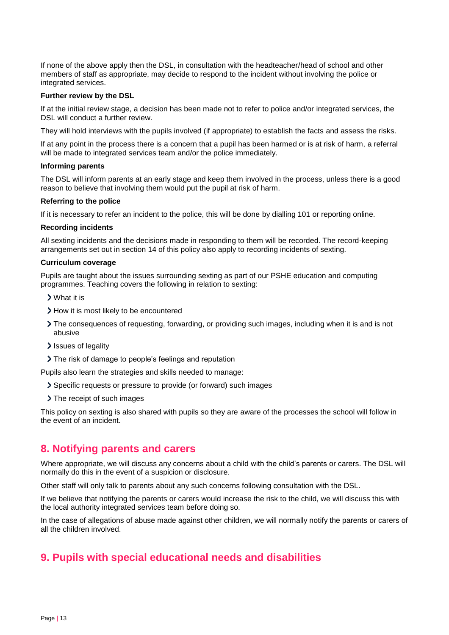If none of the above apply then the DSL, in consultation with the headteacher/head of school and other members of staff as appropriate, may decide to respond to the incident without involving the police or integrated services.

#### **Further review by the DSL**

If at the initial review stage, a decision has been made not to refer to police and/or integrated services, the DSL will conduct a further review.

They will hold interviews with the pupils involved (if appropriate) to establish the facts and assess the risks.

If at any point in the process there is a concern that a pupil has been harmed or is at risk of harm, a referral will be made to integrated services team and/or the police immediately.

#### **Informing parents**

The DSL will inform parents at an early stage and keep them involved in the process, unless there is a good reason to believe that involving them would put the pupil at risk of harm.

#### **Referring to the police**

If it is necessary to refer an incident to the police, this will be done by dialling 101 or reporting online.

#### **Recording incidents**

All sexting incidents and the decisions made in responding to them will be recorded. The record-keeping arrangements set out in section 14 of this policy also apply to recording incidents of sexting.

#### **Curriculum coverage**

Pupils are taught about the issues surrounding sexting as part of our PSHE education and computing programmes. Teaching covers the following in relation to sexting:

- What it is
- > How it is most likely to be encountered
- The consequences of requesting, forwarding, or providing such images, including when it is and is not abusive
- Issues of legality
- The risk of damage to people's feelings and reputation

Pupils also learn the strategies and skills needed to manage:

- Specific requests or pressure to provide (or forward) such images
- > The receipt of such images

This policy on sexting is also shared with pupils so they are aware of the processes the school will follow in the event of an incident.

# <span id="page-12-0"></span>**8. Notifying parents and carers**

Where appropriate, we will discuss any concerns about a child with the child's parents or carers. The DSL will normally do this in the event of a suspicion or disclosure.

Other staff will only talk to parents about any such concerns following consultation with the DSL.

If we believe that notifying the parents or carers would increase the risk to the child, we will discuss this with the local authority integrated services team before doing so.

In the case of allegations of abuse made against other children, we will normally notify the parents or carers of all the children involved.

# <span id="page-12-1"></span>**9. Pupils with special educational needs and disabilities**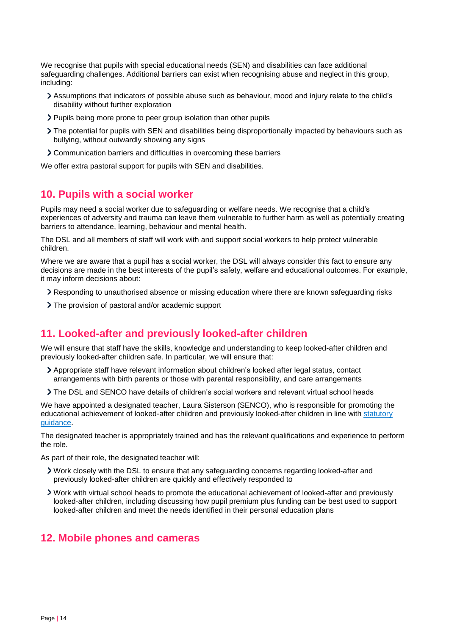We recognise that pupils with special educational needs (SEN) and disabilities can face additional safeguarding challenges. Additional barriers can exist when recognising abuse and neglect in this group, including:

- Assumptions that indicators of possible abuse such as behaviour, mood and injury relate to the child's disability without further exploration
- Pupils being more prone to peer group isolation than other pupils
- The potential for pupils with SEN and disabilities being disproportionally impacted by behaviours such as bullying, without outwardly showing any signs
- Communication barriers and difficulties in overcoming these barriers

We offer extra pastoral support for pupils with SEN and disabilities.

# <span id="page-13-0"></span>**10. Pupils with a social worker**

Pupils may need a social worker due to safeguarding or welfare needs. We recognise that a child's experiences of adversity and trauma can leave them vulnerable to further harm as well as potentially creating barriers to attendance, learning, behaviour and mental health.

The DSL and all members of staff will work with and support social workers to help protect vulnerable children.

Where we are aware that a pupil has a social worker, the DSL will always consider this fact to ensure any decisions are made in the best interests of the pupil's safety, welfare and educational outcomes. For example, it may inform decisions about:

- Responding to unauthorised absence or missing education where there are known safeguarding risks
- The provision of pastoral and/or academic support

# <span id="page-13-1"></span>**11. Looked-after and previously looked-after children**

We will ensure that staff have the skills, knowledge and understanding to keep looked-after children and previously looked-after children safe. In particular, we will ensure that:

- Appropriate staff have relevant information about children's looked after legal status, contact arrangements with birth parents or those with parental responsibility, and care arrangements
- The DSL and SENCO have details of children's social workers and relevant virtual school heads

We have appointed a designated teacher, Laura Sisterson (SENCO), who is responsible for promoting the educational achievement of looked-after children and previously looked-after children in line with [statutory](https://www.gov.uk/government/publications/designated-teacher-for-looked-after-children)  [guidance.](https://www.gov.uk/government/publications/designated-teacher-for-looked-after-children)

The designated teacher is appropriately trained and has the relevant qualifications and experience to perform the role.

As part of their role, the designated teacher will:

- Work closely with the DSL to ensure that any safeguarding concerns regarding looked-after and previously looked-after children are quickly and effectively responded to
- Work with virtual school heads to promote the educational achievement of looked-after and previously looked-after children, including discussing how pupil premium plus funding can be best used to support looked-after children and meet the needs identified in their personal education plans

# <span id="page-13-2"></span>**12. Mobile phones and cameras**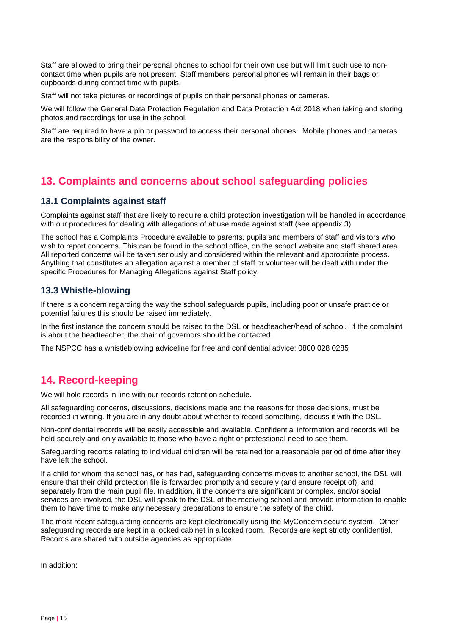Staff are allowed to bring their personal phones to school for their own use but will limit such use to noncontact time when pupils are not present. Staff members' personal phones will remain in their bags or cupboards during contact time with pupils.

Staff will not take pictures or recordings of pupils on their personal phones or cameras.

We will follow the General Data Protection Regulation and Data Protection Act 2018 when taking and storing photos and recordings for use in the school.

Staff are required to have a pin or password to access their personal phones. Mobile phones and cameras are the responsibility of the owner.

# <span id="page-14-0"></span>**13. Complaints and concerns about school safeguarding policies**

## **13.1 Complaints against staff**

Complaints against staff that are likely to require a child protection investigation will be handled in accordance with our procedures for dealing with allegations of abuse made against staff (see appendix 3).

The school has a Complaints Procedure available to parents, pupils and members of staff and visitors who wish to report concerns. This can be found in the school office, on the school website and staff shared area. All reported concerns will be taken seriously and considered within the relevant and appropriate process. Anything that constitutes an allegation against a member of staff or volunteer will be dealt with under the specific Procedures for Managing Allegations against Staff policy.

## **13.3 Whistle-blowing**

If there is a concern regarding the way the school safeguards pupils, including poor or unsafe practice or potential failures this should be raised immediately.

In the first instance the concern should be raised to the DSL or headteacher/head of school. If the complaint is about the headteacher, the chair of governors should be contacted.

The NSPCC has a whistleblowing adviceline for free and confidential advice: 0800 028 0285

# <span id="page-14-1"></span>**14. Record-keeping**

We will hold records in line with our records retention schedule.

All safeguarding concerns, discussions, decisions made and the reasons for those decisions, must be recorded in writing. If you are in any doubt about whether to record something, discuss it with the DSL.

Non-confidential records will be easily accessible and available. Confidential information and records will be held securely and only available to those who have a right or professional need to see them.

Safeguarding records relating to individual children will be retained for a reasonable period of time after they have left the school.

If a child for whom the school has, or has had, safeguarding concerns moves to another school, the DSL will ensure that their child protection file is forwarded promptly and securely (and ensure receipt of), and separately from the main pupil file. In addition, if the concerns are significant or complex, and/or social services are involved, the DSL will speak to the DSL of the receiving school and provide information to enable them to have time to make any necessary preparations to ensure the safety of the child.

The most recent safeguarding concerns are kept electronically using the MyConcern secure system. Other safeguarding records are kept in a locked cabinet in a locked room. Records are kept strictly confidential. Records are shared with outside agencies as appropriate.

In addition: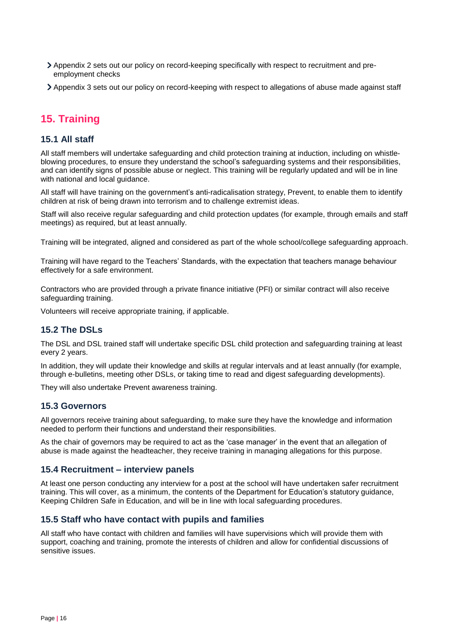- Appendix 2 sets out our policy on record-keeping specifically with respect to recruitment and preemployment checks
- Appendix 3 sets out our policy on record-keeping with respect to allegations of abuse made against staff

# <span id="page-15-0"></span>**15. Training**

## **15.1 All staff**

All staff members will undertake safeguarding and child protection training at induction, including on whistleblowing procedures, to ensure they understand the school's safeguarding systems and their responsibilities, and can identify signs of possible abuse or neglect. This training will be regularly updated and will be in line with national and local guidance.

All staff will have training on the government's anti-radicalisation strategy, Prevent, to enable them to identify children at risk of being drawn into terrorism and to challenge extremist ideas.

Staff will also receive regular safeguarding and child protection updates (for example, through emails and staff meetings) as required, but at least annually.

Training will be integrated, aligned and considered as part of the whole school/college safeguarding approach.

Training will have regard to the Teachers' Standards, with the expectation that teachers manage behaviour effectively for a safe environment.

Contractors who are provided through a private finance initiative (PFI) or similar contract will also receive safeguarding training.

Volunteers will receive appropriate training, if applicable.

## **15.2 The DSLs**

The DSL and DSL trained staff will undertake specific DSL child protection and safeguarding training at least every 2 years.

In addition, they will update their knowledge and skills at regular intervals and at least annually (for example, through e-bulletins, meeting other DSLs, or taking time to read and digest safeguarding developments).

They will also undertake Prevent awareness training.

#### **15.3 Governors**

All governors receive training about safeguarding, to make sure they have the knowledge and information needed to perform their functions and understand their responsibilities.

As the chair of governors may be required to act as the 'case manager' in the event that an allegation of abuse is made against the headteacher, they receive training in managing allegations for this purpose.

#### **15.4 Recruitment – interview panels**

At least one person conducting any interview for a post at the school will have undertaken safer recruitment training. This will cover, as a minimum, the contents of the Department for Education's statutory guidance, Keeping Children Safe in Education, and will be in line with local safeguarding procedures.

## **15.5 Staff who have contact with pupils and families**

All staff who have contact with children and families will have supervisions which will provide them with support, coaching and training, promote the interests of children and allow for confidential discussions of sensitive issues.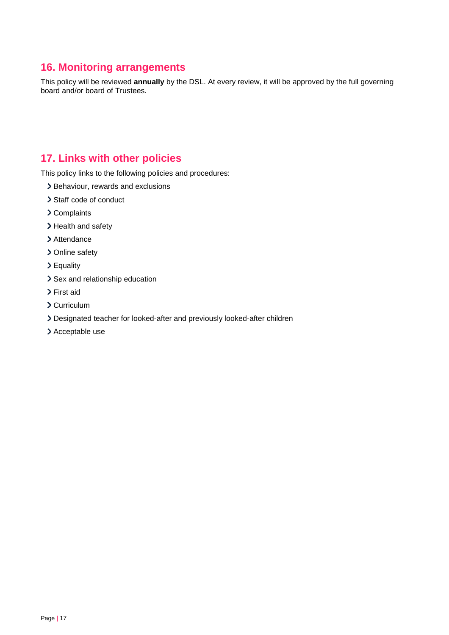# <span id="page-16-0"></span>**16. Monitoring arrangements**

This policy will be reviewed **annually** by the DSL. At every review, it will be approved by the full governing board and/or board of Trustees.

# <span id="page-16-1"></span>**17. Links with other policies**

This policy links to the following policies and procedures:

- > Behaviour, rewards and exclusions
- > Staff code of conduct
- Complaints
- > Health and safety
- > Attendance
- > Online safety
- Equality
- > Sex and relationship education
- > First aid
- > Curriculum
- Designated teacher for looked-after and previously looked-after children
- > Acceptable use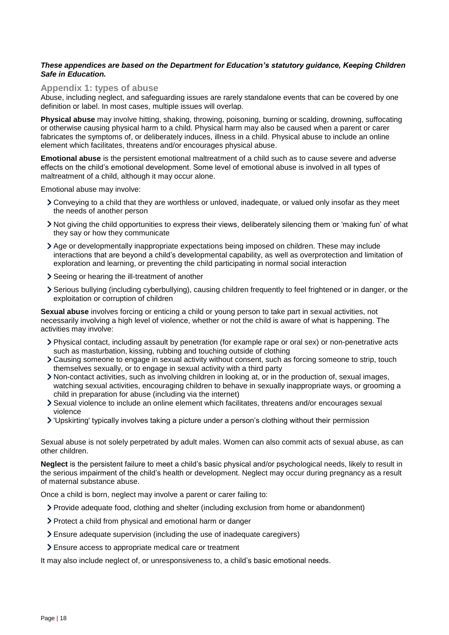#### *These appendices are based on the Department for Education's statutory guidance, Keeping Children Safe in Education.*

#### <span id="page-17-0"></span>**Appendix 1: types of abuse**

Abuse, including neglect, and safeguarding issues are rarely standalone events that can be covered by one definition or label. In most cases, multiple issues will overlap.

**Physical abuse** may involve hitting, shaking, throwing, poisoning, burning or scalding, drowning, suffocating or otherwise causing physical harm to a child. Physical harm may also be caused when a parent or carer fabricates the symptoms of, or deliberately induces, illness in a child. Physical abuse to include an online element which facilitates, threatens and/or encourages physical abuse.

**Emotional abuse** is the persistent emotional maltreatment of a child such as to cause severe and adverse effects on the child's emotional development. Some level of emotional abuse is involved in all types of maltreatment of a child, although it may occur alone.

Emotional abuse may involve:

- Conveying to a child that they are worthless or unloved, inadequate, or valued only insofar as they meet the needs of another person
- Not giving the child opportunities to express their views, deliberately silencing them or 'making fun' of what they say or how they communicate
- Age or developmentally inappropriate expectations being imposed on children. These may include interactions that are beyond a child's developmental capability, as well as overprotection and limitation of exploration and learning, or preventing the child participating in normal social interaction
- Seeing or hearing the ill-treatment of another
- Serious bullying (including cyberbullying), causing children frequently to feel frightened or in danger, or the exploitation or corruption of children

**Sexual abuse** involves forcing or enticing a child or young person to take part in sexual activities, not necessarily involving a high level of violence, whether or not the child is aware of what is happening. The activities may involve:

- Physical contact, including assault by penetration (for example rape or oral sex) or non-penetrative acts such as masturbation, kissing, rubbing and touching outside of clothing
- Causing someone to engage in sexual activity without consent, such as forcing someone to strip, touch themselves sexually, or to engage in sexual activity with a third party
- Non-contact activities, such as involving children in looking at, or in the production of, sexual images, watching sexual activities, encouraging children to behave in sexually inappropriate ways, or grooming a child in preparation for abuse (including via the internet)
- Sexual violence to include an online element which facilitates, threatens and/or encourages sexual violence
- 'Upskirting' typically involves taking a picture under a person's clothing without their permission

Sexual abuse is not solely perpetrated by adult males. Women can also commit acts of sexual abuse, as can other children.

**Neglect** is the persistent failure to meet a child's basic physical and/or psychological needs, likely to result in the serious impairment of the child's health or development. Neglect may occur during pregnancy as a result of maternal substance abuse.

Once a child is born, neglect may involve a parent or carer failing to:

- Provide adequate food, clothing and shelter (including exclusion from home or abandonment)
- Protect a child from physical and emotional harm or danger
- Ensure adequate supervision (including the use of inadequate caregivers)
- Ensure access to appropriate medical care or treatment

It may also include neglect of, or unresponsiveness to, a child's basic emotional needs.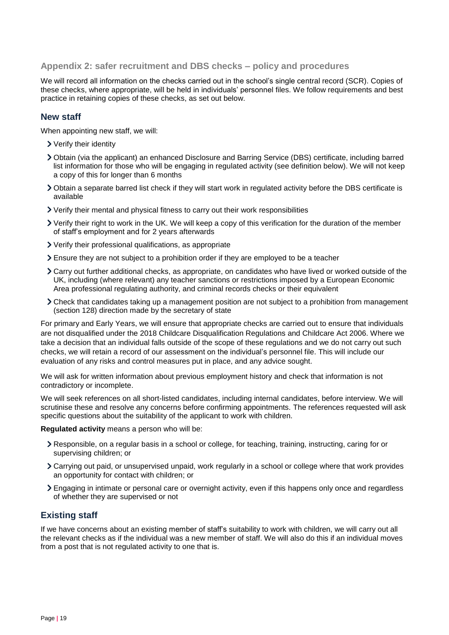#### <span id="page-18-0"></span>**Appendix 2: safer recruitment and DBS checks – policy and procedures**

We will record all information on the checks carried out in the school's single central record (SCR). Copies of these checks, where appropriate, will be held in individuals' personnel files. We follow requirements and best practice in retaining copies of these checks, as set out below.

#### **New staff**

When appointing new staff, we will:

- Verify their identity
- Obtain (via the applicant) an enhanced Disclosure and Barring Service (DBS) certificate, including barred list information for those who will be engaging in regulated activity (see definition below). We will not keep a copy of this for longer than 6 months
- Obtain a separate barred list check if they will start work in regulated activity before the DBS certificate is available
- Verify their mental and physical fitness to carry out their work responsibilities
- Verify their right to work in the UK. We will keep a copy of this verification for the duration of the member of staff's employment and for 2 years afterwards
- Verify their professional qualifications, as appropriate
- Ensure they are not subject to a prohibition order if they are employed to be a teacher
- Carry out further additional checks, as appropriate, on candidates who have lived or worked outside of the UK, including (where relevant) any teacher sanctions or restrictions imposed by a European Economic Area professional regulating authority, and criminal records checks or their equivalent
- Check that candidates taking up a management position are not subject to a prohibition from management (section 128) direction made by the secretary of state

For primary and Early Years, we will ensure that appropriate checks are carried out to ensure that individuals are not disqualified under the 2018 Childcare Disqualification Regulations and Childcare Act 2006. Where we take a decision that an individual falls outside of the scope of these regulations and we do not carry out such checks, we will retain a record of our assessment on the individual's personnel file. This will include our evaluation of any risks and control measures put in place, and any advice sought.

We will ask for written information about previous employment history and check that information is not contradictory or incomplete.

We will seek references on all short-listed candidates, including internal candidates, before interview. We will scrutinise these and resolve any concerns before confirming appointments. The references requested will ask specific questions about the suitability of the applicant to work with children.

**Regulated activity** means a person who will be:

- Responsible, on a regular basis in a school or college, for teaching, training, instructing, caring for or supervising children; or
- Carrying out paid, or unsupervised unpaid, work regularly in a school or college where that work provides an opportunity for contact with children; or
- Engaging in intimate or personal care or overnight activity, even if this happens only once and regardless of whether they are supervised or not

# **Existing staff**

If we have concerns about an existing member of staff's suitability to work with children, we will carry out all the relevant checks as if the individual was a new member of staff. We will also do this if an individual moves from a post that is not regulated activity to one that is.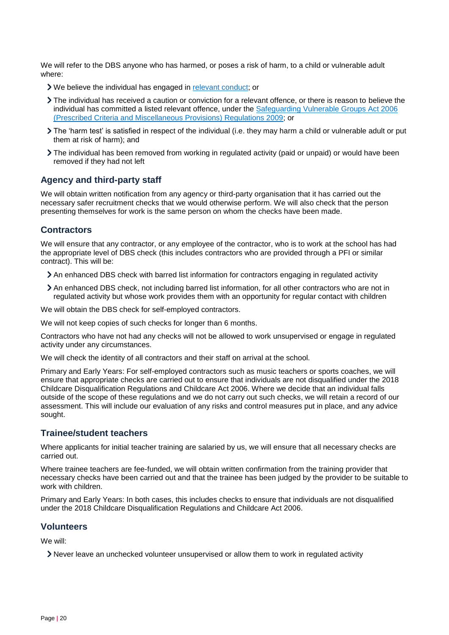We will refer to the DBS anyone who has harmed, or poses a risk of harm, to a child or vulnerable adult where:

- We believe the individual has engaged in [relevant conduct;](https://www.gov.uk/guidance/making-barring-referrals-to-the-dbs#relevant-conduct-in-relation-to-children) or
- The individual has received a caution or conviction for a relevant offence, or there is reason to believe the individual has committed a listed relevant offence, under the [Safeguarding Vulnerable Groups Act 2006](http://www.legislation.gov.uk/uksi/2009/37/contents/made)  [\(Prescribed Criteria and Miscellaneous Provisions\) Regulations 2009;](http://www.legislation.gov.uk/uksi/2009/37/contents/made) or
- The 'harm test' is satisfied in respect of the individual (i.e. they may harm a child or vulnerable adult or put them at risk of harm); and
- The individual has been removed from working in regulated activity (paid or unpaid) or would have been removed if they had not left

#### **Agency and third-party staff**

We will obtain written notification from any agency or third-party organisation that it has carried out the necessary safer recruitment checks that we would otherwise perform. We will also check that the person presenting themselves for work is the same person on whom the checks have been made.

# **Contractors**

We will ensure that any contractor, or any employee of the contractor, who is to work at the school has had the appropriate level of DBS check (this includes contractors who are provided through a PFI or similar contract). This will be:

- An enhanced DBS check with barred list information for contractors engaging in regulated activity
- An enhanced DBS check, not including barred list information, for all other contractors who are not in regulated activity but whose work provides them with an opportunity for regular contact with children

We will obtain the DBS check for self-employed contractors.

We will not keep copies of such checks for longer than 6 months.

Contractors who have not had any checks will not be allowed to work unsupervised or engage in regulated activity under any circumstances.

We will check the identity of all contractors and their staff on arrival at the school.

Primary and Early Years: For self-employed contractors such as music teachers or sports coaches, we will ensure that appropriate checks are carried out to ensure that individuals are not disqualified under the 2018 Childcare Disqualification Regulations and Childcare Act 2006. Where we decide that an individual falls outside of the scope of these regulations and we do not carry out such checks, we will retain a record of our assessment. This will include our evaluation of any risks and control measures put in place, and any advice sought.

## **Trainee/student teachers**

Where applicants for initial teacher training are salaried by us, we will ensure that all necessary checks are carried out.

Where trainee teachers are fee-funded, we will obtain written confirmation from the training provider that necessary checks have been carried out and that the trainee has been judged by the provider to be suitable to work with children.

Primary and Early Years: In both cases, this includes checks to ensure that individuals are not disqualified under the 2018 Childcare Disqualification Regulations and Childcare Act 2006.

#### **Volunteers**

We will:

Never leave an unchecked volunteer unsupervised or allow them to work in regulated activity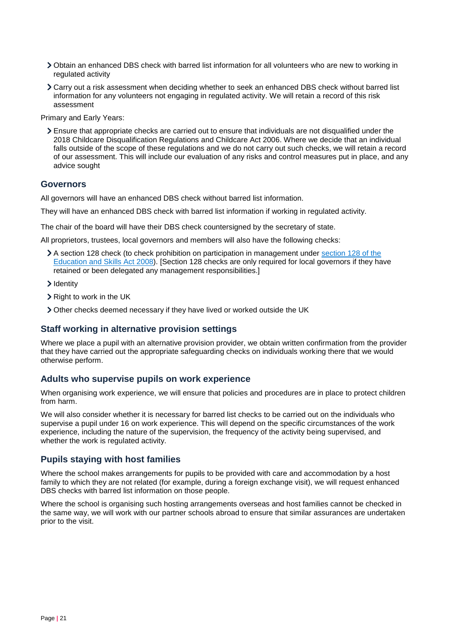- Obtain an enhanced DBS check with barred list information for all volunteers who are new to working in regulated activity
- Carry out a risk assessment when deciding whether to seek an enhanced DBS check without barred list information for any volunteers not engaging in regulated activity. We will retain a record of this risk assessment

Primary and Early Years:

Ensure that appropriate checks are carried out to ensure that individuals are not disqualified under the 2018 Childcare Disqualification Regulations and Childcare Act 2006. Where we decide that an individual falls outside of the scope of these regulations and we do not carry out such checks, we will retain a record of our assessment. This will include our evaluation of any risks and control measures put in place, and any advice sought

#### **Governors**

All governors will have an enhanced DBS check without barred list information.

They will have an enhanced DBS check with barred list information if working in regulated activity.

The chair of the board will have their DBS check countersigned by the secretary of state.

All proprietors, trustees, local governors and members will also have the following checks:

- A section 128 check (to check prohibition on participation in management under [section 128 of the](https://www.legislation.gov.uk/ukpga/2008/25/section/128)  Education [and Skills Act 2008\)](https://www.legislation.gov.uk/ukpga/2008/25/section/128). [Section 128 checks are only required for local governors if they have retained or been delegated any management responsibilities.]
- > Identity
- > Right to work in the UK
- Other checks deemed necessary if they have lived or worked outside the UK

#### **Staff working in alternative provision settings**

Where we place a pupil with an alternative provision provider, we obtain written confirmation from the provider that they have carried out the appropriate safeguarding checks on individuals working there that we would otherwise perform.

## **Adults who supervise pupils on work experience**

When organising work experience, we will ensure that policies and procedures are in place to protect children from harm.

We will also consider whether it is necessary for barred list checks to be carried out on the individuals who supervise a pupil under 16 on work experience. This will depend on the specific circumstances of the work experience, including the nature of the supervision, the frequency of the activity being supervised, and whether the work is regulated activity.

#### **Pupils staying with host families**

Where the school makes arrangements for pupils to be provided with care and accommodation by a host family to which they are not related (for example, during a foreign exchange visit), we will request enhanced DBS checks with barred list information on those people.

Where the school is organising such hosting arrangements overseas and host families cannot be checked in the same way, we will work with our partner schools abroad to ensure that similar assurances are undertaken prior to the visit.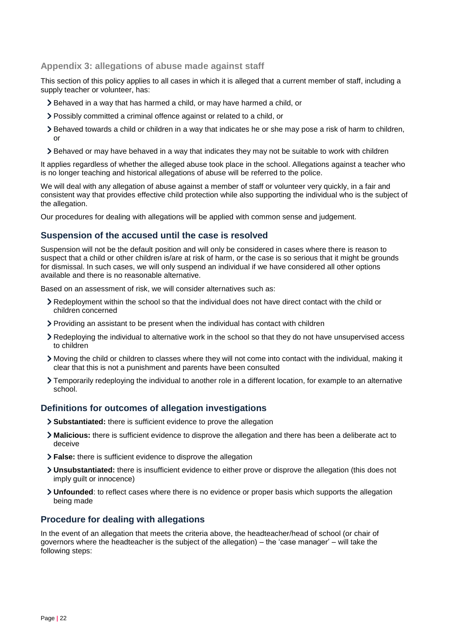## <span id="page-21-0"></span>**Appendix 3: allegations of abuse made against staff**

This section of this policy applies to all cases in which it is alleged that a current member of staff, including a supply teacher or volunteer, has:

- Behaved in a way that has harmed a child, or may have harmed a child, or
- Possibly committed a criminal offence against or related to a child, or
- Behaved towards a child or children in a way that indicates he or she may pose a risk of harm to children, or
- Behaved or may have behaved in a way that indicates they may not be suitable to work with children

It applies regardless of whether the alleged abuse took place in the school. Allegations against a teacher who is no longer teaching and historical allegations of abuse will be referred to the police.

We will deal with any allegation of abuse against a member of staff or volunteer very quickly, in a fair and consistent way that provides effective child protection while also supporting the individual who is the subject of the allegation.

Our procedures for dealing with allegations will be applied with common sense and judgement.

#### **Suspension of the accused until the case is resolved**

Suspension will not be the default position and will only be considered in cases where there is reason to suspect that a child or other children is/are at risk of harm, or the case is so serious that it might be grounds for dismissal. In such cases, we will only suspend an individual if we have considered all other options available and there is no reasonable alternative.

Based on an assessment of risk, we will consider alternatives such as:

- Redeployment within the school so that the individual does not have direct contact with the child or children concerned
- Providing an assistant to be present when the individual has contact with children
- Redeploying the individual to alternative work in the school so that they do not have unsupervised access to children
- Moving the child or children to classes where they will not come into contact with the individual, making it clear that this is not a punishment and parents have been consulted
- Temporarily redeploying the individual to another role in a different location, for example to an alternative school.

## **Definitions for outcomes of allegation investigations**

- **Substantiated:** there is sufficient evidence to prove the allegation
- **Malicious:** there is sufficient evidence to disprove the allegation and there has been a deliberate act to deceive
- **False:** there is sufficient evidence to disprove the allegation
- **Unsubstantiated:** there is insufficient evidence to either prove or disprove the allegation (this does not imply guilt or innocence)
- **Unfounded**: to reflect cases where there is no evidence or proper basis which supports the allegation being made

## **Procedure for dealing with allegations**

In the event of an allegation that meets the criteria above, the headteacher/head of school (or chair of governors where the headteacher is the subject of the allegation) – the 'case manager' – will take the following steps: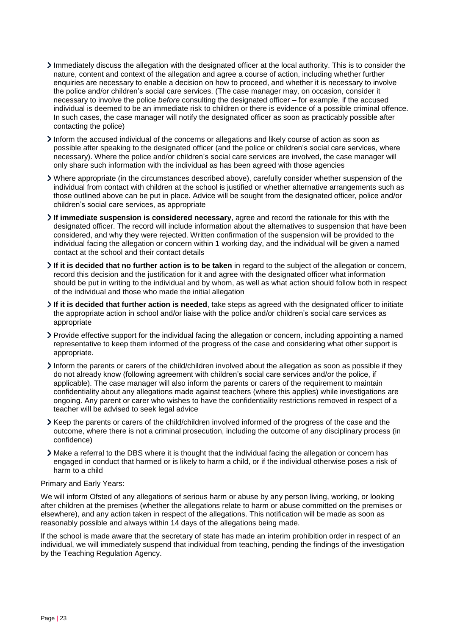- Immediately discuss the allegation with the designated officer at the local authority. This is to consider the nature, content and context of the allegation and agree a course of action, including whether further enquiries are necessary to enable a decision on how to proceed, and whether it is necessary to involve the police and/or children's social care services. (The case manager may, on occasion, consider it necessary to involve the police *before* consulting the designated officer – for example, if the accused individual is deemed to be an immediate risk to children or there is evidence of a possible criminal offence. In such cases, the case manager will notify the designated officer as soon as practicably possible after contacting the police)
- Inform the accused individual of the concerns or allegations and likely course of action as soon as possible after speaking to the designated officer (and the police or children's social care services, where necessary). Where the police and/or children's social care services are involved, the case manager will only share such information with the individual as has been agreed with those agencies
- Where appropriate (in the circumstances described above), carefully consider whether suspension of the individual from contact with children at the school is justified or whether alternative arrangements such as those outlined above can be put in place. Advice will be sought from the designated officer, police and/or children's social care services, as appropriate
- **If immediate suspension is considered necessary**, agree and record the rationale for this with the designated officer. The record will include information about the alternatives to suspension that have been considered, and why they were rejected. Written confirmation of the suspension will be provided to the individual facing the allegation or concern within 1 working day, and the individual will be given a named contact at the school and their contact details
- **If it is decided that no further action is to be taken** in regard to the subject of the allegation or concern, record this decision and the justification for it and agree with the designated officer what information should be put in writing to the individual and by whom, as well as what action should follow both in respect of the individual and those who made the initial allegation
- **If it is decided that further action is needed**, take steps as agreed with the designated officer to initiate the appropriate action in school and/or liaise with the police and/or children's social care services as appropriate
- Provide effective support for the individual facing the allegation or concern, including appointing a named representative to keep them informed of the progress of the case and considering what other support is appropriate.
- Inform the parents or carers of the child/children involved about the allegation as soon as possible if they do not already know (following agreement with children's social care services and/or the police, if applicable). The case manager will also inform the parents or carers of the requirement to maintain confidentiality about any allegations made against teachers (where this applies) while investigations are ongoing. Any parent or carer who wishes to have the confidentiality restrictions removed in respect of a teacher will be advised to seek legal advice
- Keep the parents or carers of the child/children involved informed of the progress of the case and the outcome, where there is not a criminal prosecution, including the outcome of any disciplinary process (in confidence)
- Make a referral to the DBS where it is thought that the individual facing the allegation or concern has engaged in conduct that harmed or is likely to harm a child, or if the individual otherwise poses a risk of harm to a child

#### Primary and Early Years:

We will inform Ofsted of any allegations of serious harm or abuse by any person living, working, or looking after children at the premises (whether the allegations relate to harm or abuse committed on the premises or elsewhere), and any action taken in respect of the allegations. This notification will be made as soon as reasonably possible and always within 14 days of the allegations being made.

If the school is made aware that the secretary of state has made an interim prohibition order in respect of an individual, we will immediately suspend that individual from teaching, pending the findings of the investigation by the Teaching Regulation Agency.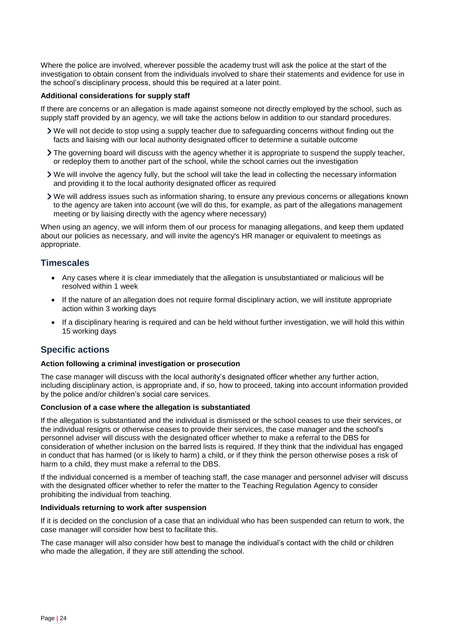Where the police are involved, wherever possible the academy trust will ask the police at the start of the investigation to obtain consent from the individuals involved to share their statements and evidence for use in the school's disciplinary process, should this be required at a later point.

#### **Additional considerations for supply staff**

If there are concerns or an allegation is made against someone not directly employed by the school, such as supply staff provided by an agency, we will take the actions below in addition to our standard procedures.

- We will not decide to stop using a supply teacher due to safeguarding concerns without finding out the facts and liaising with our local authority designated officer to determine a suitable outcome
- If the governing board will discuss with the agency whether it is appropriate to suspend the supply teacher, or redeploy them to another part of the school, while the school carries out the investigation
- We will involve the agency fully, but the school will take the lead in collecting the necessary information and providing it to the local authority designated officer as required
- We will address issues such as information sharing, to ensure any previous concerns or allegations known to the agency are taken into account (we will do this, for example, as part of the allegations management meeting or by liaising directly with the agency where necessary)

When using an agency, we will inform them of our process for managing allegations, and keep them updated about our policies as necessary, and will invite the agency's HR manager or equivalent to meetings as appropriate.

## **Timescales**

- Any cases where it is clear immediately that the allegation is unsubstantiated or malicious will be resolved within 1 week
- If the nature of an allegation does not require formal disciplinary action, we will institute appropriate action within 3 working days
- If a disciplinary hearing is required and can be held without further investigation, we will hold this within 15 working days

## **Specific actions**

#### **Action following a criminal investigation or prosecution**

The case manager will discuss with the local authority's designated officer whether any further action, including disciplinary action, is appropriate and, if so, how to proceed, taking into account information provided by the police and/or children's social care services.

#### **Conclusion of a case where the allegation is substantiated**

If the allegation is substantiated and the individual is dismissed or the school ceases to use their services, or the individual resigns or otherwise ceases to provide their services, the case manager and the school's personnel adviser will discuss with the designated officer whether to make a referral to the DBS for consideration of whether inclusion on the barred lists is required. If they think that the individual has engaged in conduct that has harmed (or is likely to harm) a child, or if they think the person otherwise poses a risk of harm to a child, they must make a referral to the DBS.

If the individual concerned is a member of teaching staff, the case manager and personnel adviser will discuss with the designated officer whether to refer the matter to the Teaching Regulation Agency to consider prohibiting the individual from teaching.

#### **Individuals returning to work after suspension**

If it is decided on the conclusion of a case that an individual who has been suspended can return to work, the case manager will consider how best to facilitate this.

The case manager will also consider how best to manage the individual's contact with the child or children who made the allegation, if they are still attending the school.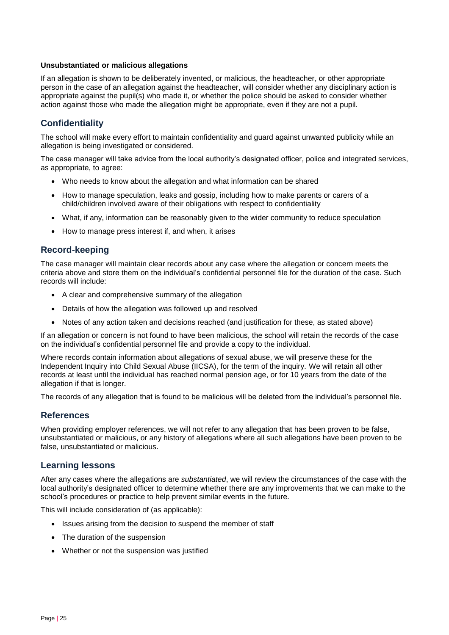#### **Unsubstantiated or malicious allegations**

If an allegation is shown to be deliberately invented, or malicious, the headteacher, or other appropriate person in the case of an allegation against the headteacher, will consider whether any disciplinary action is appropriate against the pupil(s) who made it, or whether the police should be asked to consider whether action against those who made the allegation might be appropriate, even if they are not a pupil.

# **Confidentiality**

The school will make every effort to maintain confidentiality and guard against unwanted publicity while an allegation is being investigated or considered.

The case manager will take advice from the local authority's designated officer, police and integrated services, as appropriate, to agree:

- Who needs to know about the allegation and what information can be shared
- How to manage speculation, leaks and gossip, including how to make parents or carers of a child/children involved aware of their obligations with respect to confidentiality
- What, if any, information can be reasonably given to the wider community to reduce speculation
- How to manage press interest if, and when, it arises

# **Record-keeping**

The case manager will maintain clear records about any case where the allegation or concern meets the criteria above and store them on the individual's confidential personnel file for the duration of the case. Such records will include:

- A clear and comprehensive summary of the allegation
- Details of how the allegation was followed up and resolved
- Notes of any action taken and decisions reached (and justification for these, as stated above)

If an allegation or concern is not found to have been malicious, the school will retain the records of the case on the individual's confidential personnel file and provide a copy to the individual.

Where records contain information about allegations of sexual abuse, we will preserve these for the Independent Inquiry into Child Sexual Abuse (IICSA), for the term of the inquiry. We will retain all other records at least until the individual has reached normal pension age, or for 10 years from the date of the allegation if that is longer.

The records of any allegation that is found to be malicious will be deleted from the individual's personnel file.

## **References**

When providing employer references, we will not refer to any allegation that has been proven to be false, unsubstantiated or malicious, or any history of allegations where all such allegations have been proven to be false, unsubstantiated or malicious.

## **Learning lessons**

After any cases where the allegations are *substantiated*, we will review the circumstances of the case with the local authority's designated officer to determine whether there are any improvements that we can make to the school's procedures or practice to help prevent similar events in the future.

This will include consideration of (as applicable):

- Issues arising from the decision to suspend the member of staff
- The duration of the suspension
- Whether or not the suspension was justified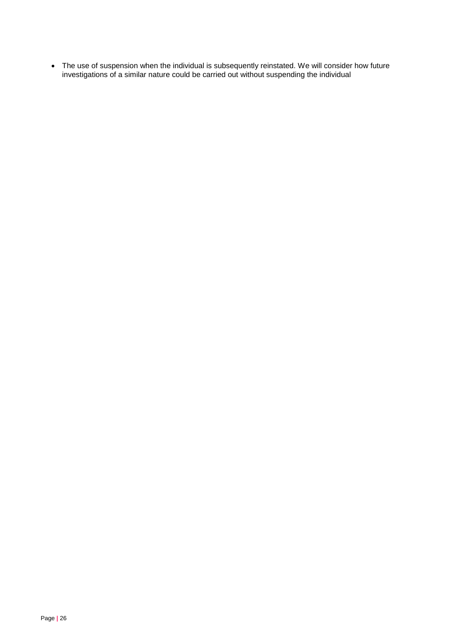The use of suspension when the individual is subsequently reinstated. We will consider how future investigations of a similar nature could be carried out without suspending the individual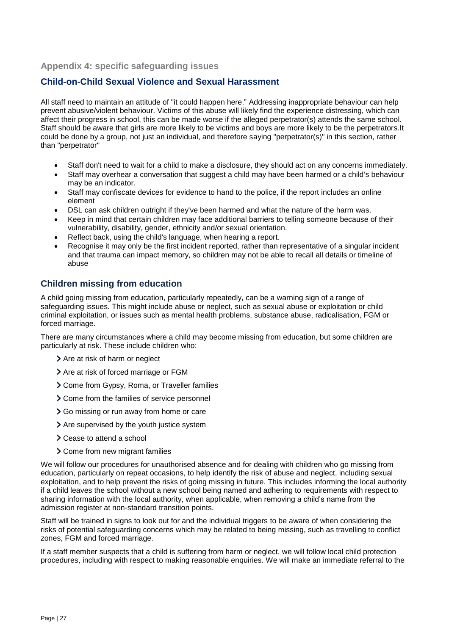## <span id="page-26-0"></span>**Appendix 4: specific safeguarding issues**

# **Child-on-Child Sexual Violence and Sexual Harassment**

All staff need to maintain an attitude of "it could happen here." Addressing inappropriate behaviour can help prevent abusive/violent behaviour. Victims of this abuse will likely find the experience distressing, which can affect their progress in school, this can be made worse if the alleged perpetrator(s) attends the same school. Staff should be aware that girls are more likely to be victims and boys are more likely to be the perpetrators.It could be done by a group, not just an individual, and therefore saying "perpetrator(s)" in this section, rather than "perpetrator"

- Staff don't need to wait for a child to make a disclosure, they should act on any concerns immediately.
- Staff may overhear a conversation that suggest a child may have been harmed or a child's behaviour may be an indicator.
- Staff may confiscate devices for evidence to hand to the police, if the report includes an online element
- DSL can ask children outright if they've been harmed and what the nature of the harm was.
- Keep in mind that certain children may face additional barriers to telling someone because of their vulnerability, disability, gender, ethnicity and/or sexual orientation.
- Reflect back, using the child's language, when hearing a report.
- Recognise it may only be the first incident reported, rather than representative of a singular incident and that trauma can impact memory, so children may not be able to recall all details or timeline of abuse

# **Children missing from education**

A child going missing from education, particularly repeatedly, can be a warning sign of a range of safeguarding issues. This might include abuse or neglect, such as sexual abuse or exploitation or child criminal exploitation, or issues such as mental health problems, substance abuse, radicalisation, FGM or forced marriage.

There are many circumstances where a child may become missing from education, but some children are particularly at risk. These include children who:

- > Are at risk of harm or neglect
- $\blacktriangleright$  Are at risk of forced marriage or FGM
- Come from Gypsy, Roma, or Traveller families
- Come from the families of service personnel
- Go missing or run away from home or care
- Are supervised by the youth justice system
- Cease to attend a school
- Come from new migrant families

We will follow our procedures for unauthorised absence and for dealing with children who go missing from education, particularly on repeat occasions, to help identify the risk of abuse and neglect, including sexual exploitation, and to help prevent the risks of going missing in future. This includes informing the local authority if a child leaves the school without a new school being named and adhering to requirements with respect to sharing information with the local authority, when applicable, when removing a child's name from the admission register at non-standard transition points.

Staff will be trained in signs to look out for and the individual triggers to be aware of when considering the risks of potential safeguarding concerns which may be related to being missing, such as travelling to conflict zones, FGM and forced marriage.

If a staff member suspects that a child is suffering from harm or neglect, we will follow local child protection procedures, including with respect to making reasonable enquiries. We will make an immediate referral to the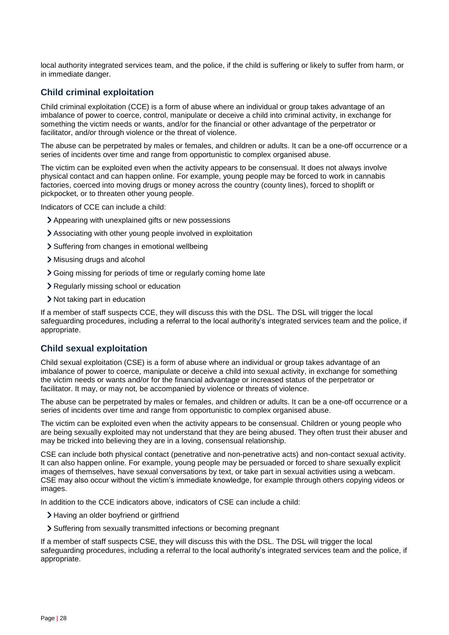local authority integrated services team, and the police, if the child is suffering or likely to suffer from harm, or in immediate danger.

# **Child criminal exploitation**

Child criminal exploitation (CCE) is a form of abuse where an individual or group takes advantage of an imbalance of power to coerce, control, manipulate or deceive a child into criminal activity, in exchange for something the victim needs or wants, and/or for the financial or other advantage of the perpetrator or facilitator, and/or through violence or the threat of violence.

The abuse can be perpetrated by males or females, and children or adults. It can be a one-off occurrence or a series of incidents over time and range from opportunistic to complex organised abuse.

The victim can be exploited even when the activity appears to be consensual. It does not always involve physical contact and can happen online. For example, young people may be forced to work in cannabis factories, coerced into moving drugs or money across the country (county lines), forced to shoplift or pickpocket, or to threaten other young people.

Indicators of CCE can include a child:

- Appearing with unexplained gifts or new possessions
- Associating with other young people involved in exploitation
- > Suffering from changes in emotional wellbeing
- Misusing drugs and alcohol
- Going missing for periods of time or regularly coming home late
- Regularly missing school or education
- Not taking part in education

If a member of staff suspects CCE, they will discuss this with the DSL. The DSL will trigger the local safeguarding procedures, including a referral to the local authority's integrated services team and the police, if appropriate.

# **Child sexual exploitation**

Child sexual exploitation (CSE) is a form of abuse where an individual or group takes advantage of an imbalance of power to coerce, manipulate or deceive a child into sexual activity, in exchange for something the victim needs or wants and/or for the financial advantage or increased status of the perpetrator or facilitator. It may, or may not, be accompanied by violence or threats of violence.

The abuse can be perpetrated by males or females, and children or adults. It can be a one-off occurrence or a series of incidents over time and range from opportunistic to complex organised abuse.

The victim can be exploited even when the activity appears to be consensual. Children or young people who are being sexually exploited may not understand that they are being abused. They often trust their abuser and may be tricked into believing they are in a loving, consensual relationship.

CSE can include both physical contact (penetrative and non-penetrative acts) and non-contact sexual activity. It can also happen online. For example, young people may be persuaded or forced to share sexually explicit images of themselves, have sexual conversations by text, or take part in sexual activities using a webcam. CSE may also occur without the victim's immediate knowledge, for example through others copying videos or images.

In addition to the CCE indicators above, indicators of CSE can include a child:

- Having an older boyfriend or girlfriend
- Suffering from sexually transmitted infections or becoming pregnant

If a member of staff suspects CSE, they will discuss this with the DSL. The DSL will trigger the local safeguarding procedures, including a referral to the local authority's integrated services team and the police, if appropriate.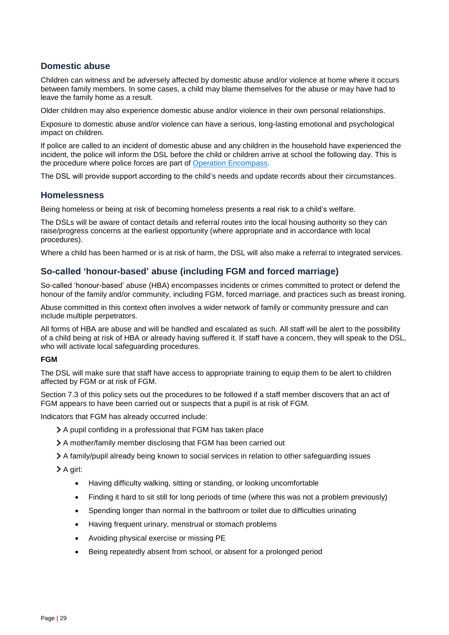# **Domestic abuse**

Children can witness and be adversely affected by domestic abuse and/or violence at home where it occurs between family members. In some cases, a child may blame themselves for the abuse or may have had to leave the family home as a result.

Older children may also experience domestic abuse and/or violence in their own personal relationships.

Exposure to domestic abuse and/or violence can have a serious, long-lasting emotional and psychological impact on children.

If police are called to an incident of domestic abuse and any children in the household have experienced the incident, the police will inform the DSL before the child or children arrive at school the following day. This is the procedure where police forces are part of [Operation Encompass.](https://www.operationencompass.org/)

The DSL will provide support according to the child's needs and update records about their circumstances.

#### **Homelessness**

Being homeless or being at risk of becoming homeless presents a real risk to a child's welfare.

The DSLs will be aware of contact details and referral routes into the local housing authority so they can raise/progress concerns at the earliest opportunity (where appropriate and in accordance with local procedures).

Where a child has been harmed or is at risk of harm, the DSL will also make a referral to integrated services.

# **So-called 'honour-based' abuse (including FGM and forced marriage)**

So-called 'honour-based' abuse (HBA) encompasses incidents or crimes committed to protect or defend the honour of the family and/or community, including FGM, forced marriage, and practices such as breast ironing.

Abuse committed in this context often involves a wider network of family or community pressure and can include multiple perpetrators.

All forms of HBA are abuse and will be handled and escalated as such. All staff will be alert to the possibility of a child being at risk of HBA or already having suffered it. If staff have a concern, they will speak to the DSL, who will activate local safeguarding procedures.

#### **FGM**

The DSL will make sure that staff have access to appropriate training to equip them to be alert to children affected by FGM or at risk of FGM.

Section 7.3 of this policy sets out the procedures to be followed if a staff member discovers that an act of FGM appears to have been carried out or suspects that a pupil is at risk of FGM.

Indicators that FGM has already occurred include:

- A pupil confiding in a professional that FGM has taken place
- A mother/family member disclosing that FGM has been carried out
- A family/pupil already being known to social services in relation to other safeguarding issues

A girl:

- Having difficulty walking, sitting or standing, or looking uncomfortable
- Finding it hard to sit still for long periods of time (where this was not a problem previously)
- Spending longer than normal in the bathroom or toilet due to difficulties urinating
- Having frequent urinary, menstrual or stomach problems
- Avoiding physical exercise or missing PE
- Being repeatedly absent from school, or absent for a prolonged period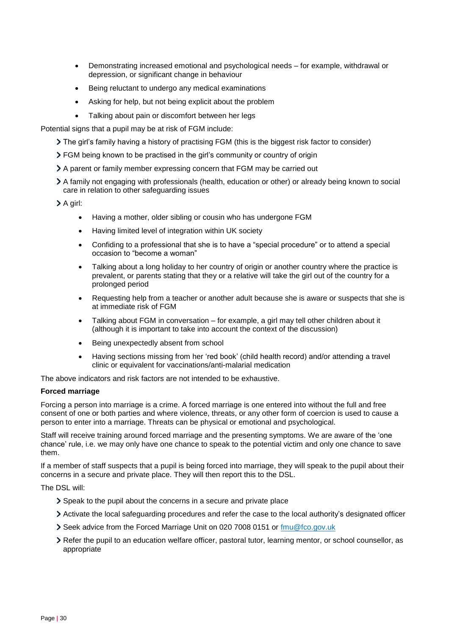- Demonstrating increased emotional and psychological needs for example, withdrawal or depression, or significant change in behaviour
- Being reluctant to undergo any medical examinations
- Asking for help, but not being explicit about the problem
- Talking about pain or discomfort between her legs

Potential signs that a pupil may be at risk of FGM include:

- The girl's family having a history of practising FGM (this is the biggest risk factor to consider)
- FGM being known to be practised in the girl's community or country of origin
- A parent or family member expressing concern that FGM may be carried out
- A family not engaging with professionals (health, education or other) or already being known to social care in relation to other safeguarding issues

> A girl:

- Having a mother, older sibling or cousin who has undergone FGM
- Having limited level of integration within UK society
- Confiding to a professional that she is to have a "special procedure" or to attend a special occasion to "become a woman"
- Talking about a long holiday to her country of origin or another country where the practice is prevalent, or parents stating that they or a relative will take the girl out of the country for a prolonged period
- Requesting help from a teacher or another adult because she is aware or suspects that she is at immediate risk of FGM
- Talking about FGM in conversation for example, a girl may tell other children about it (although it is important to take into account the context of the discussion)
- Being unexpectedly absent from school
- Having sections missing from her 'red book' (child health record) and/or attending a travel clinic or equivalent for vaccinations/anti-malarial medication

The above indicators and risk factors are not intended to be exhaustive.

#### **Forced marriage**

Forcing a person into marriage is a crime. A forced marriage is one entered into without the full and free consent of one or both parties and where violence, threats, or any other form of coercion is used to cause a person to enter into a marriage. Threats can be physical or emotional and psychological.

Staff will receive training around forced marriage and the presenting symptoms. We are aware of the 'one chance' rule, i.e. we may only have one chance to speak to the potential victim and only one chance to save them.

If a member of staff suspects that a pupil is being forced into marriage, they will speak to the pupil about their concerns in a secure and private place. They will then report this to the DSL.

The DSL will:

- Speak to the pupil about the concerns in a secure and private place
- Activate the local safeguarding procedures and refer the case to the local authority's designated officer
- Seek advice from the Forced Marriage Unit on 020 7008 0151 or [fmu@fco.gov.uk](mailto:fmu@fco.gov.uk)
- Refer the pupil to an education welfare officer, pastoral tutor, learning mentor, or school counsellor, as appropriate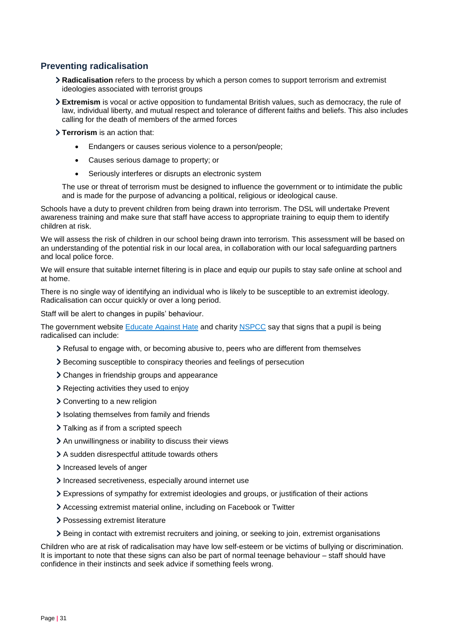# **Preventing radicalisation**

- **Radicalisation** refers to the process by which a person comes to support terrorism and extremist ideologies associated with terrorist groups
- **Extremism** is vocal or active opposition to fundamental British values, such as democracy, the rule of law, individual liberty, and mutual respect and tolerance of different faiths and beliefs. This also includes calling for the death of members of the armed forces

**Terrorism** is an action that:

- Endangers or causes serious violence to a person/people;
- Causes serious damage to property; or
- Seriously interferes or disrupts an electronic system

The use or threat of terrorism must be designed to influence the government or to intimidate the public and is made for the purpose of advancing a political, religious or ideological cause.

Schools have a duty to prevent children from being drawn into terrorism. The DSL will undertake Prevent awareness training and make sure that staff have access to appropriate training to equip them to identify children at risk.

We will assess the risk of children in our school being drawn into terrorism. This assessment will be based on an understanding of the potential risk in our local area, in collaboration with our local safeguarding partners and local police force.

We will ensure that suitable internet filtering is in place and equip our pupils to stay safe online at school and at home.

There is no single way of identifying an individual who is likely to be susceptible to an extremist ideology. Radicalisation can occur quickly or over a long period.

Staff will be alert to changes in pupils' behaviour.

The government website [Educate Against](http://educateagainsthate.com/parents/what-are-the-warning-signs/) Hate and charity [NSPCC](https://www.nspcc.org.uk/what-you-can-do/report-abuse/dedicated-helplines/protecting-children-from-radicalisation/) say that signs that a pupil is being radicalised can include:

- Refusal to engage with, or becoming abusive to, peers who are different from themselves
- Becoming susceptible to conspiracy theories and feelings of persecution
- Changes in friendship groups and appearance
- Rejecting activities they used to enjoy
- Converting to a new religion
- Isolating themselves from family and friends
- > Talking as if from a scripted speech
- An unwillingness or inability to discuss their views
- A sudden disrespectful attitude towards others
- Increased levels of anger
- Increased secretiveness, especially around internet use
- Expressions of sympathy for extremist ideologies and groups, or justification of their actions
- Accessing extremist material online, including on Facebook or Twitter
- > Possessing extremist literature
- Being in contact with extremist recruiters and joining, or seeking to join, extremist organisations

Children who are at risk of radicalisation may have low self-esteem or be victims of bullying or discrimination. It is important to note that these signs can also be part of normal teenage behaviour – staff should have confidence in their instincts and seek advice if something feels wrong.